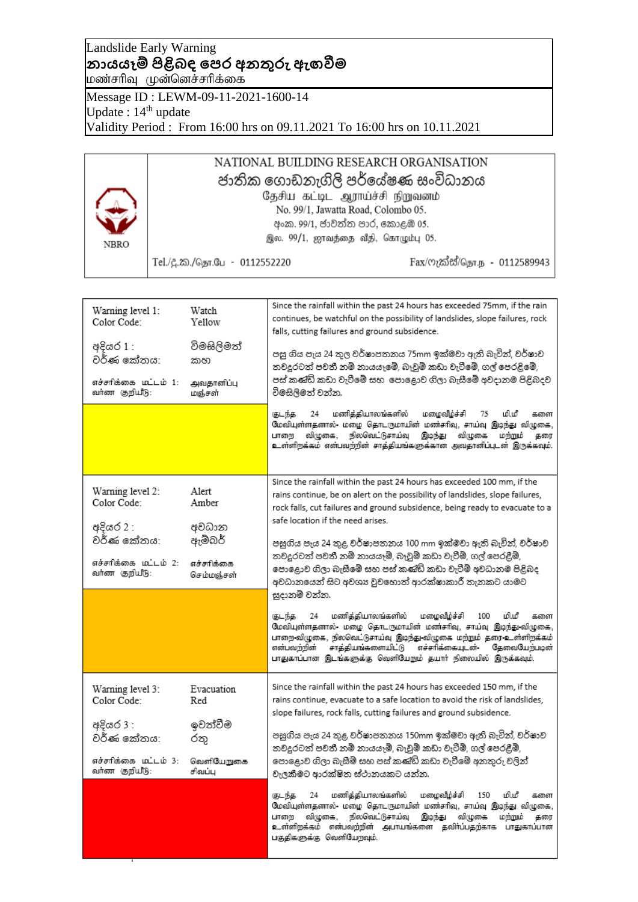## Landslide Early Warning **නායයෑම් පිළිබඳ පෙර අනතුරු ඇඟවීම** மண்சரிவு முன்னெச்சரிக்கை

Message ID : LEWM-09-11-2021-1600-14 Update : 14<sup>th</sup> update Validity Period : From 16:00 hrs on 09.11.2021 To 16:00 hrs on 10.11.2021

| <b>NBRO</b> | NATIONAL BUILDING RESEARCH ORGANISATION<br>ජාතික ගොඩනැගිලි පර්යේෂණ සංවිධානය<br>தேசிய கட்டிட ஆராய்ச்சி நிறுவனம்<br>No. 99/1, Jawatta Road, Colombo 05.<br>අංක. 99/1, ජාවත්ත පාර, කොළඹ 05.<br>இல. 99/1, ஜாவத்தை வீதி, கொழும்பு 05. |                              |
|-------------|----------------------------------------------------------------------------------------------------------------------------------------------------------------------------------------------------------------------------------|------------------------------|
|             | Tel./දූ.ක./தொ.பே - 0112552220                                                                                                                                                                                                    | Fax/ෆැක්ස්/தொ.ந - 0112589943 |

| Warning level 1:<br>Color Code:<br>අදියර 1 :<br>වර්ණ කේතය:<br>எச்சாிக்கை மட்டம் 1:<br>வர்ண குறியீடு: | Watch<br>Yellow<br>විමසිලිමත්<br>කහ<br>அவதானிப்பு<br>மஞ்சள் | Since the rainfall within the past 24 hours has exceeded 75mm, if the rain<br>continues, be watchful on the possibility of landslides, slope failures, rock<br>falls, cutting failures and ground subsidence.<br>පසු ගිය පැය 24 තුල වර්ෂාපතනය 75mm ඉක්මවා ඇති බැවින්, වර්ෂාව<br>තවදුරටත් පවතී නම් නායයෑමේ, බෑවුම් කඩා වැටීමේ, ගල් පෙරළිමේ,<br>පස් කණ්ඩි කඩා වැටීමේ සහ  පොළොව ගිලා බැසීමේ අවදානම පිළිබදව<br>විමසිලිමත් වන්න.<br>மணித்தியாலங்களில்<br>மழைவீழ்ச்சி<br>குடந்த<br>24<br>மிமீ<br>75<br>களை<br>மேவியுள்ளதனால்- மழை தொடருமாயின் மண்சரிவு, சாய்வு இடிந்து விழுகை,<br>நிலவெட்டுசாய்வு<br>விழுகை<br>விழுகை,<br>இடிந்து<br>மற்றும்<br>பாளை<br>தரை<br>உள்ளிறக்கம் என்பவற்றின் சாத்தியங்களுக்கான அவதானிப்புடன் இருக்கவும். |
|------------------------------------------------------------------------------------------------------|-------------------------------------------------------------|------------------------------------------------------------------------------------------------------------------------------------------------------------------------------------------------------------------------------------------------------------------------------------------------------------------------------------------------------------------------------------------------------------------------------------------------------------------------------------------------------------------------------------------------------------------------------------------------------------------------------------------------------------------------------------------------------------------------------|
|                                                                                                      |                                                             |                                                                                                                                                                                                                                                                                                                                                                                                                                                                                                                                                                                                                                                                                                                              |
| Warning level 2:<br>Color Code:<br>අදියර 2 :                                                         | Alert<br>Amber<br>අවධාන                                     | Since the rainfall within the past 24 hours has exceeded 100 mm, if the<br>rains continue, be on alert on the possibility of landslides, slope failures,<br>rock falls, cut failures and ground subsidence, being ready to evacuate to a<br>safe location if the need arises.                                                                                                                                                                                                                                                                                                                                                                                                                                                |
| වර්ණ කේතය:                                                                                           | ඇම්බර්                                                      | පසුගිය පැය 24 තුළ වර්ෂාපතනය 100 mm ඉක්මවා ඇති බැවින්, වර්ෂාව<br>තවදුරටත් පවතී නම් නායයෑම්, බෑවුම් කඩා වැටීම්, ගල් පෙරළීම්,                                                                                                                                                                                                                                                                                                                                                                                                                                                                                                                                                                                                   |
| எச்சாிக்கை மட்டம் 2:<br>வர்ண குறியீடு:                                                               | எச்சரிக்கை<br>செம்மஞ்சள்                                    | පොළොව ගිලා බැසීමේ සහ පස් කණිඩ් කඩා වැටීම් අවධානම පිළිබද<br>අවධානයෙන් සිට අවශා වුවහොත් ආරක්ෂාකාරී තැනකට යාමට                                                                                                                                                                                                                                                                                                                                                                                                                                                                                                                                                                                                                  |
|                                                                                                      |                                                             | සුදානම් වන්න.<br>மணித்தியாலங்களில்<br>மழைவீழ்ச்சி<br>மி.மீ<br>24<br>100<br>குடந்த<br>களை<br>மேவியுள்ளதனால்- மழை தொடருமாயின் மண்சரிவு, சாய்வு இடிந்து-விழுகை,<br>பாறை விழுகை, நிலவெட்டுசாய்வு இடிந்து விழுகை மற்றும் தரை உள்ளிறக்கம்<br>சாத்தியங்களையிட்டு எச்சரிக்கையுடன்-<br>என்பவந்நின்<br>தேவைபேற்படின்<br>பாதுகாப்பான இடங்களுக்கு வெளியேறும் தயார் நிலையில் இருக்கவும்.                                                                                                                                                                                                                                                                                                                                                  |
| Warning level 3:<br>Color Code:                                                                      | Evacuation<br>Red                                           | Since the rainfall within the past 24 hours has exceeded 150 mm, if the<br>rains continue, evacuate to a safe location to avoid the risk of landslides,                                                                                                                                                                                                                                                                                                                                                                                                                                                                                                                                                                      |
| අදියර 3 :<br>වර්ණ කේතය:                                                                              | ඉවත්වීම<br>රතු                                              | slope failures, rock falls, cutting failures and ground subsidence.<br>පසුගිය පැය 24 තුළ වර්ෂාපතනය 150mm ඉක්මවා ඇති බැවින්, වර්ෂාව<br>තවදූරටත් පවතී නම් නායයෑම්, බෑවුම් කඩා වැටීම්, ගල් පෙරළීම්,                                                                                                                                                                                                                                                                                                                                                                                                                                                                                                                             |
| எச்சாிக்கை மட்டம் 3:<br>வர்ண குறியீடு:                                                               | வெளியேறுகை<br>சிவப்ப                                        | පොළොව ගිලා බැසීම් සහ පස් කණිඩ් කඩා වැටීමේ අනතුරු වලින්<br>වැලකීමට ආරක්ෂිත ස්ථානයකට යන්න.                                                                                                                                                                                                                                                                                                                                                                                                                                                                                                                                                                                                                                     |
|                                                                                                      |                                                             | மணித்தியாலங்களில்<br>மழைவீழ்ச்சி<br>மி.மீ<br>24<br>150<br>குடந்த<br>களை<br>மேவியுள்ளதனால்- மழை தொடருமாயின் மண்சரிவு, சாய்வு இடிந்து விழுகை,<br>நிலவெட்டுசாய்வு<br>விழுகை,<br>இடிந்து<br>விழுகை<br>மற்றும்<br>பாறை<br>தரை<br>உள்ளிறக்கம் என்பவற்றின் அபாயங்களை தவிர்ப்பதற்காக பாதுகாப்பான<br>பகுதிகளுக்கு வெளியேறவும்.                                                                                                                                                                                                                                                                                                                                                                                                        |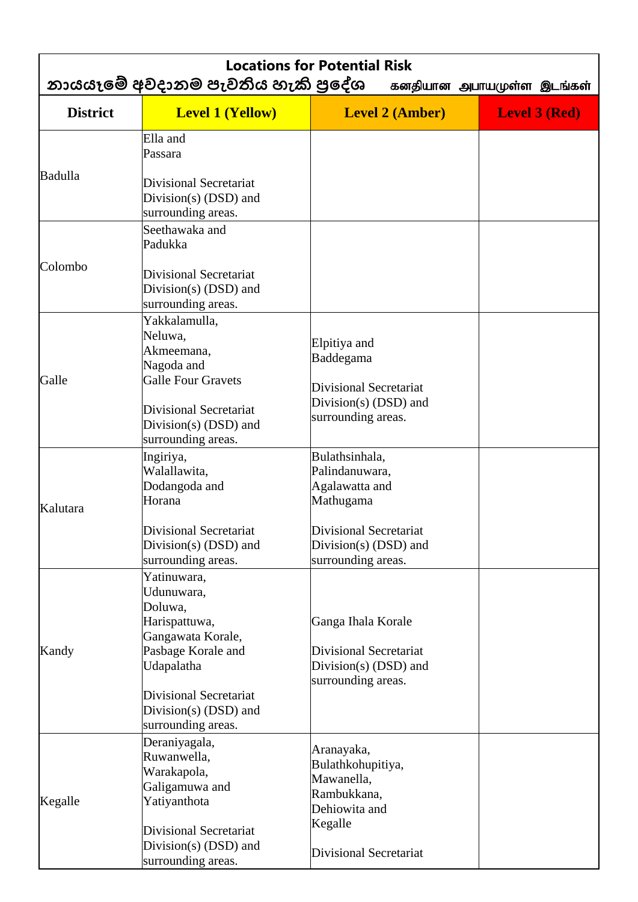| <b>Locations for Potential Risk</b><br>නායයෑමේ අවදානම පැවතිය හැකි පුදේශ<br>கனதியான அபாயமுள்ள இடங்கள் |                                                                                                                                                                                                                        |                                                                                                                            |                      |
|------------------------------------------------------------------------------------------------------|------------------------------------------------------------------------------------------------------------------------------------------------------------------------------------------------------------------------|----------------------------------------------------------------------------------------------------------------------------|----------------------|
| <b>District</b>                                                                                      | <b>Level 1 (Yellow)</b>                                                                                                                                                                                                | <b>Level 2 (Amber)</b>                                                                                                     | <b>Level 3 (Red)</b> |
| Badulla                                                                                              | Ella and<br>Passara<br>Divisional Secretariat<br>Division(s) $(DSD)$ and<br>surrounding areas.                                                                                                                         |                                                                                                                            |                      |
| Colombo                                                                                              | Seethawaka and<br>Padukka<br>Divisional Secretariat<br>Division(s) (DSD) and<br>surrounding areas.                                                                                                                     |                                                                                                                            |                      |
| Galle                                                                                                | Yakkalamulla,<br>Neluwa,<br>Akmeemana,<br>Nagoda and<br><b>Galle Four Gravets</b><br>Divisional Secretariat<br>Division(s) (DSD) and<br>surrounding areas.                                                             | Elpitiya and<br>Baddegama<br><b>Divisional Secretariat</b><br>Division(s) (DSD) and<br>surrounding areas.                  |                      |
| Kalutara                                                                                             | Ingiriya,<br>Walallawita,<br>Dodangoda and<br>Horana<br>Divisional Secretariat<br>Division(s) $(DSD)$ and                                                                                                              | Bulathsinhala,<br>Palindanuwara,<br>Agalawatta and<br>Mathugama<br>Divisional Secretariat<br>Division(s) $(DSD)$ and       |                      |
| Kandy                                                                                                | surrounding areas.<br>Yatinuwara,<br>Udunuwara,<br>Doluwa,<br>Harispattuwa,<br>Gangawata Korale,<br>Pasbage Korale and<br>Udapalatha<br><b>Divisional Secretariat</b><br>Division(s) $(DSD)$ and<br>surrounding areas. | surrounding areas.<br>Ganga Ihala Korale<br><b>Divisional Secretariat</b><br>Division(s) $(DSD)$ and<br>surrounding areas. |                      |
| Kegalle                                                                                              | Deraniyagala,<br>Ruwanwella,<br>Warakapola,<br>Galigamuwa and<br>Yatiyanthota<br><b>Divisional Secretariat</b><br>Division(s) $(DSD)$ and<br>surrounding areas.                                                        | Aranayaka,<br>Bulathkohupitiya,<br>Mawanella,<br>Rambukkana,<br>Dehiowita and<br>Kegalle<br><b>Divisional Secretariat</b>  |                      |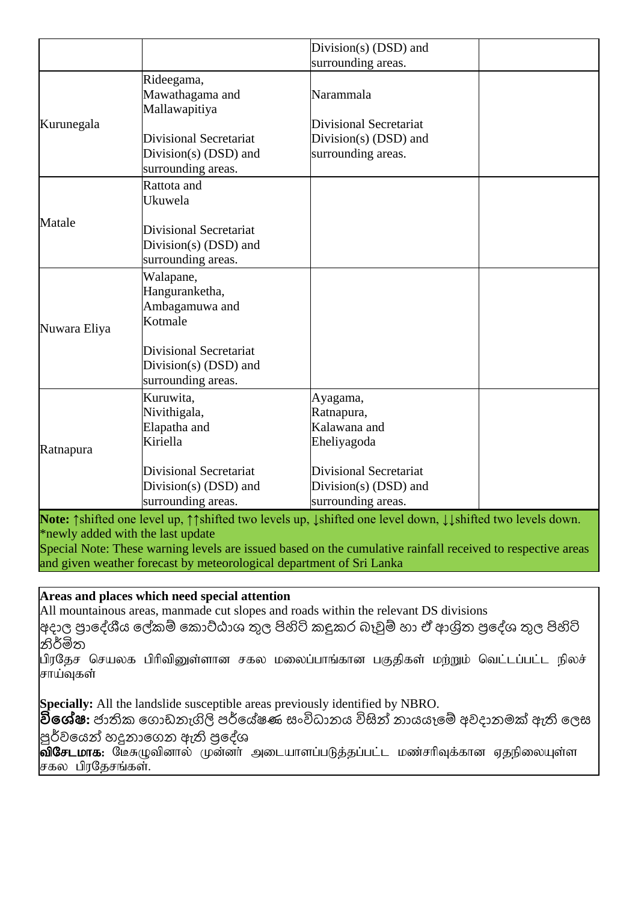|              |                                                                                                                                       | Division(s) $(DSD)$ and                                                                                                        |  |
|--------------|---------------------------------------------------------------------------------------------------------------------------------------|--------------------------------------------------------------------------------------------------------------------------------|--|
|              |                                                                                                                                       | surrounding areas.                                                                                                             |  |
|              | Rideegama,<br>Mawathagama and<br>Mallawapitiya                                                                                        | Narammala                                                                                                                      |  |
| Kurunegala   | <b>Divisional Secretariat</b><br>Division(s) (DSD) and<br>surrounding areas.                                                          | Divisional Secretariat<br>Division(s) (DSD) and<br>surrounding areas.                                                          |  |
| Matale       | Rattota and<br>Ukuwela<br><b>Divisional Secretariat</b><br>Division(s) $(DSD)$ and<br>surrounding areas.                              |                                                                                                                                |  |
| Nuwara Eliya | Walapane,<br>Hanguranketha,<br>Ambagamuwa and<br>Kotmale<br>Divisional Secretariat<br>Division(s) (DSD) and<br>surrounding areas.     |                                                                                                                                |  |
| Ratnapura    | Kuruwita,<br>Nivithigala,<br>Elapatha and<br>Kiriella<br><b>Divisional Secretariat</b><br>Division(s) (DSD) and<br>surrounding areas. | Ayagama,<br>Ratnapura,<br>Kalawana and<br>Eheliyagoda<br>Divisional Secretariat<br>Division(s) (DSD) and<br>surrounding areas. |  |

Note: ↑shifted one level up, ↑↑shifted two levels up, ↓shifted one level down, ↓↓shifted two levels down. \*newly added with the last update

Special Note: These warning levels are issued based on the cumulative rainfall received to respective areas and given weather forecast by meteorological department of Sri Lanka

## **Areas and places which need special attention**

All mountainous areas, manmade cut slopes and roads within the relevant DS divisions

|අදාල පුාදේශීය ලේකම් කොට්ඨාශ තුල පිහිටි කඳුකර බෑවුම් හා ඒ ආශිත පුදේශ තුල පිහිටි නිර්මිත

பிரதேச செயலக பிரிவினுள்ளான சகல மலைப்பாங்கான பகுதிகள் மற்றும் வெட்டப்பட்ட நிலச் சாய்வகள்

**Specially:** All the landslide susceptible areas previously identified by NBRO.

<mark>විශේෂ:</mark> ජාතික ගොඩනැගිලි පර්යේෂණ සංවිධානය විසින් නායයෑමේ අවදානමක් ඇති ලෙස |පූර්වයෙන් හදුනාගෙන ඇති පුදේශ

**விசேடமாக:** மேசுழுவினால் முன்னா் அடையாளப்படுத்தப்பட்ட மண்சாிவுக்கான ஏதநிலையுள்ள சகல பிரதேசங்கள்.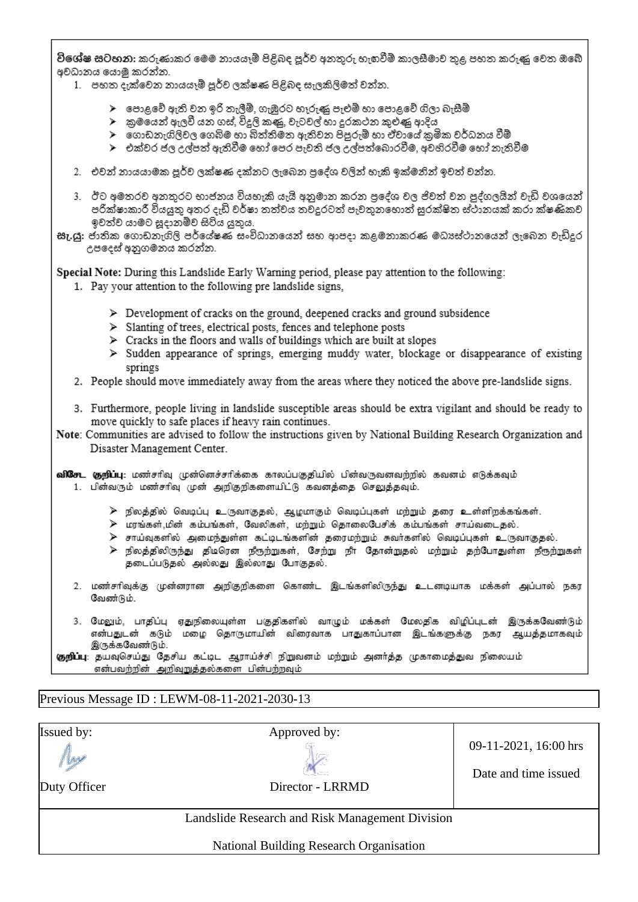විශේෂ සටහන: කරුණාකර මෙම නායයෑම් පිළිබද පූර්ව අනතුරු හැඟවීම් කාලසීමාව තුළ පහත කරුණු වෙත ඔබේ අවධානය යොමු කරන්න.

- 1. පහත දැක්වෙන නායයෑම් පූර්ව ලක්ෂණ පිළිබද සැලකිලිමත් වන්න.
	- $\blacktriangleright$  පොළවේ ඇති වන ඉරි තැලීම්, ගැඹුරට හෑරුණු පැළුම් හා පොළවේ ගිලා බැසීම්
	- ≻ු කුමයෙන් ඇලවී යන ගස්, විදුලි කණු, වැටවල් හා දුරකථන කුළුණු ආදිය
	- ≻ ගොඩනැගිලිවල ගෙබිම හා බිත්තිමත ඇතිවන පිපුරුම් හා ඒවායේ කුමික වර්ධනය වීම්
	- ≻ එක්වර ජල උල්පත් ඇතිවීම හෝ පෙර පැවති ජල උල්පත්බොරවීම. අවහිරවීම හෝ තැතිවීම
- 2. එවන් නායයාමක පූර්ව ලක්ෂණ දක්නට ලැබෙන පුදේශ වලින් හැකි ඉක්මනින් ඉවත් වන්න.
- 3. ඊට අමතරව අනතුරට භාජනය වියහැකි යැයි අනුමාන කරන පුදේශ වල ජිවත් වන පුද්ගලයින් වැඩි වශයෙන් පරික්ෂාකාරී වියයුතු අතර දැඩි වර්ෂා තත්වය තවදුරටත් පැවතුනහොත් සුරක්ෂිත ස්ථානයක් කරා ක්ෂණිකව ඉවත්ව යාමට සූදානම්ව සිටිය යුතුය.
- සැ.යූ: ජාතික ගොඩනැගිලි පර්යේෂණ සංවිධානයෙන් සහ ආපදා කළමනාකරණ මධාපේථානයෙන් ලැබෙන වැඩිදුර උපදෙස් අනුගමනය කරන්න.

Special Note: During this Landslide Early Warning period, please pay attention to the following:

- 1. Pay your attention to the following pre landslide signs,
	- $\triangleright$  Development of cracks on the ground, deepened cracks and ground subsidence
	- > Slanting of trees, electrical posts, fences and telephone posts
	- $\triangleright$  Cracks in the floors and walls of buildings which are built at slopes
	- > Sudden appearance of springs, emerging muddy water, blockage or disappearance of existing springs
- 2. People should move immediately away from the areas where they noticed the above pre-landslide signs.
- 3. Furthermore, people living in landslide susceptible areas should be extra vigilant and should be ready to move quickly to safe places if heavy rain continues.
- Note: Communities are advised to follow the instructions given by National Building Research Organization and Disaster Management Center.

- $\triangleright$  நிலத்தில் வெடிப்பு உருவாகுதல், ஆழமாகும் வெடிப்புகள் மற்றும் தரை உள்ளிறக்கங்கள்.
- ≽ மரங்கள்,மின் கம்பங்கள், வேலிகள், மற்றும் தொலைபேசிக் கம்பங்கள் சாய்வடைதல்.
- <mark>≫ சாய்வுகளில் அமைந்துள்ள கட்டிடங்களின் தரைமற்றும் சுவர்களில் வெடிப்புகள் உருவாகுதல்.</mark>
- ≻ நிலத்திலிருந்து திடிரென நீரூற்றுகள், சேற்று நீா தோன்றுதல் மற்றும் தற்போதுள்ள நீரூற்றுகள் தடைப்படுதல் அல்லது இல்லாது போகுதல்.
- 2. மண்சரிவுக்கு முன்னரான அறிகுறிகளை கொண்ட இடங்களிலிருந்து உடனடியாக மக்கள் அப்பால் நகர வேண்டும்.
- 3. மேலும், பாதிப்பு ஏதுநிலையுள்ள பகுதிகளில் வாழும் மக்கள் மேலதிக விழிப்புடன் இருக்கவேண்டும் என்பதுடன் கடும் மழை தொருமாயின் விரைவாக பாதுகாப்பான இடங்களுக்கு நகர ஆயத்தமாகவும் இருக்கவேண்டும்.

குறிப்பு: தயவுசெய்து தேசிய கட்டிட ஆராய்ச்சி நிறுவனம் மற்றும் அனர்த்த முகாமைத்துவ நிலையம் என்பவற்றின் அறிவுறுத்தல்களை பின்பற்றவும்

#### Previous Message ID : LEWM-08-11-2021-2030-13

| <b>Issued by:</b><br>W<br>Duty Officer | Approved by:<br>Director - LRRMD                | 09-11-2021, 16:00 hrs<br>Date and time issued |
|----------------------------------------|-------------------------------------------------|-----------------------------------------------|
|                                        | Landslide Research and Risk Management Division |                                               |
|                                        | National Building Research Organisation         |                                               |

வி**சேட குறிப்பு**: மண்சரிவு முன்னெச்சரிக்கை காலப்பகுதியில் பின்வருவனவற்றில் கவனம் எடுக்கவும் 1. பின்வரும் மண்சரிவு முன் அறிகுறிகளையிட்டு கவனத்தை செலுத்தவும்.